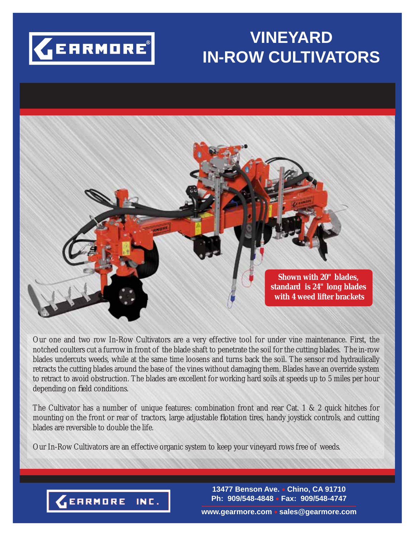

# **VINEYARD IN-ROW CULTIVATORS**



Our one and two row In-Row Cultivators are a very effective tool for under vine maintenance. First, the notched coulters cut a furrow in front of the blade shaft to penetrate the soil for the cutting blades. The in-row blades undercuts weeds, while at the same time loosens and turns back the soil. The sensor rod hydraulically retracts the cutting blades around the base of the vines without damaging them. Blades have an override system to retract to avoid obstruction. The blades are excellent for working hard soils at speeds up to 5 miles per hour depending on field conditions.

The Cultivator has a number of unique features: combination front and rear Cat. 1 & 2 quick hitches for mounting on the front or rear of tractors, large adjustable flotation tires, handy joystick controls, and cutting blades are reversible to double the life.

Our In-Row Cultivators are an effective organic system to keep your vineyard rows free of weeds.



**13477 Benson Ave. Chino, CA 91710 Ph: 909/548-4848 Fax: 909/548-4747**

**www.gearmore.com sales@gearmore.com**